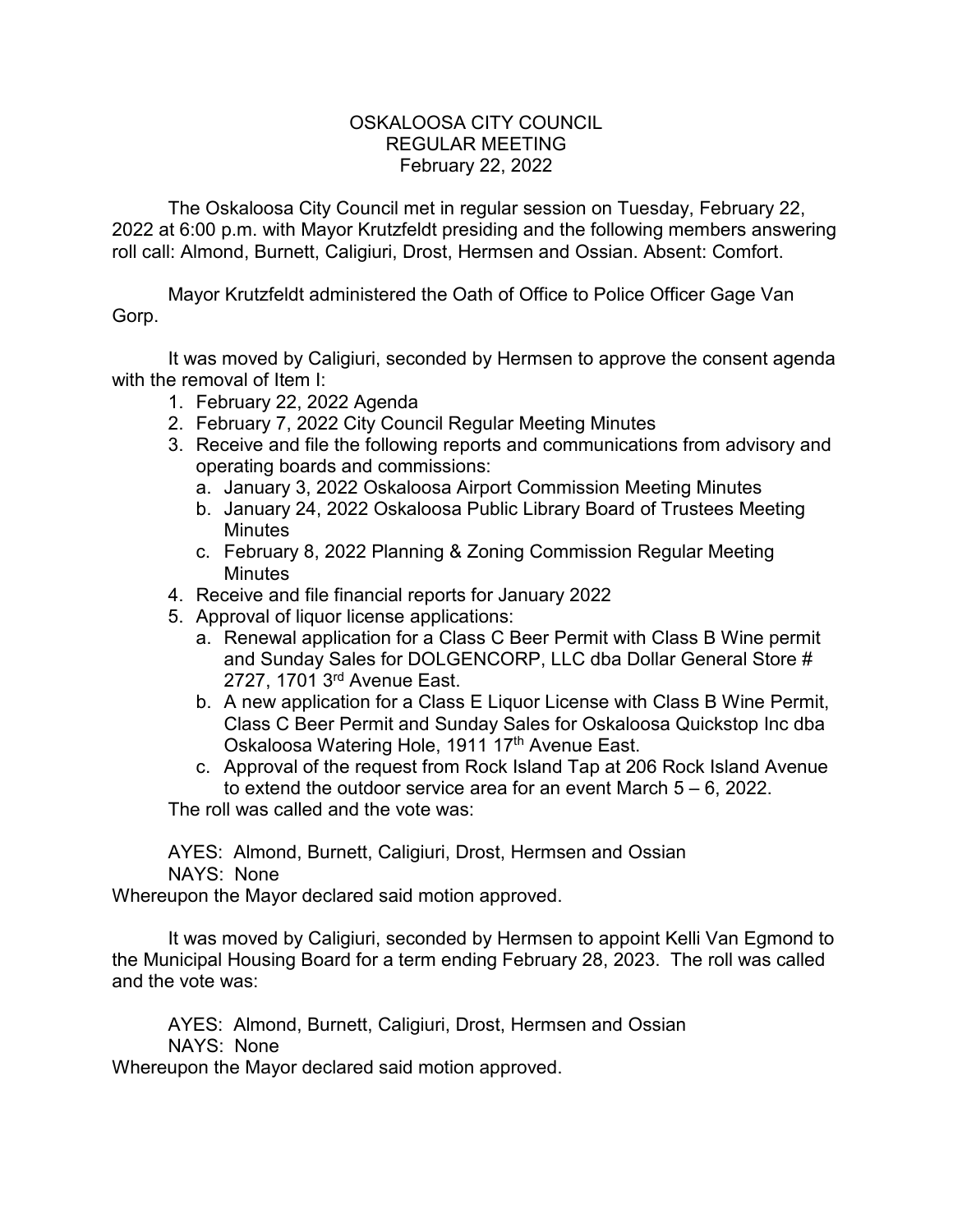## OSKALOOSA CITY COUNCIL REGULAR MEETING February 22, 2022

The Oskaloosa City Council met in regular session on Tuesday, February 22, 2022 at 6:00 p.m. with Mayor Krutzfeldt presiding and the following members answering roll call: Almond, Burnett, Caligiuri, Drost, Hermsen and Ossian. Absent: Comfort.

Mayor Krutzfeldt administered the Oath of Office to Police Officer Gage Van Gorp.

It was moved by Caligiuri, seconded by Hermsen to approve the consent agenda with the removal of Item I:

- 1. February 22, 2022 Agenda
- 2. February 7, 2022 City Council Regular Meeting Minutes
- 3. Receive and file the following reports and communications from advisory and operating boards and commissions:
	- a. January 3, 2022 Oskaloosa Airport Commission Meeting Minutes
	- b. January 24, 2022 Oskaloosa Public Library Board of Trustees Meeting **Minutes**
	- c. February 8, 2022 Planning & Zoning Commission Regular Meeting **Minutes**
- 4. Receive and file financial reports for January 2022
- 5. Approval of liquor license applications:
	- a. Renewal application for a Class C Beer Permit with Class B Wine permit and Sunday Sales for DOLGENCORP, LLC dba Dollar General Store # 2727, 1701 3rd Avenue East.
	- b. A new application for a Class E Liquor License with Class B Wine Permit, Class C Beer Permit and Sunday Sales for Oskaloosa Quickstop Inc dba Oskaloosa Watering Hole, 1911 17<sup>th</sup> Avenue East.
	- c. Approval of the request from Rock Island Tap at 206 Rock Island Avenue to extend the outdoor service area for an event March 5 – 6, 2022.

The roll was called and the vote was:

AYES: Almond, Burnett, Caligiuri, Drost, Hermsen and Ossian NAYS: None

Whereupon the Mayor declared said motion approved.

It was moved by Caligiuri, seconded by Hermsen to appoint Kelli Van Egmond to the Municipal Housing Board for a term ending February 28, 2023. The roll was called and the vote was:

AYES: Almond, Burnett, Caligiuri, Drost, Hermsen and Ossian NAYS: None

Whereupon the Mayor declared said motion approved.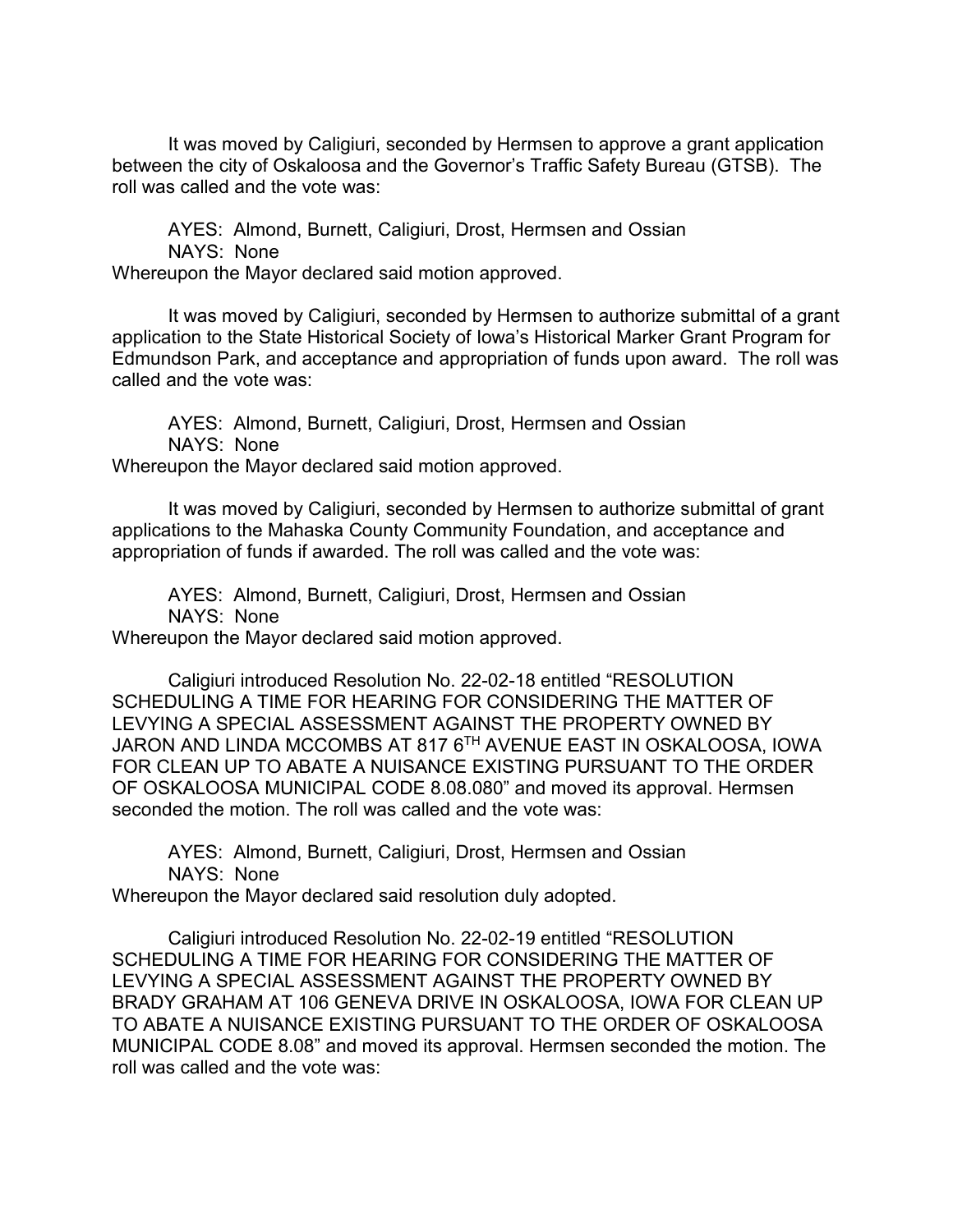It was moved by Caligiuri, seconded by Hermsen to approve a grant application between the city of Oskaloosa and the Governor's Traffic Safety Bureau (GTSB). The roll was called and the vote was:

AYES: Almond, Burnett, Caligiuri, Drost, Hermsen and Ossian NAYS: None

Whereupon the Mayor declared said motion approved.

It was moved by Caligiuri, seconded by Hermsen to authorize submittal of a grant application to the State Historical Society of Iowa's Historical Marker Grant Program for Edmundson Park, and acceptance and appropriation of funds upon award. The roll was called and the vote was:

AYES: Almond, Burnett, Caligiuri, Drost, Hermsen and Ossian NAYS: None Whereupon the Mayor declared said motion approved.

It was moved by Caligiuri, seconded by Hermsen to authorize submittal of grant applications to the Mahaska County Community Foundation, and acceptance and appropriation of funds if awarded. The roll was called and the vote was:

AYES: Almond, Burnett, Caligiuri, Drost, Hermsen and Ossian NAYS: None Whereupon the Mayor declared said motion approved.

Caligiuri introduced Resolution No. 22-02-18 entitled "RESOLUTION SCHEDULING A TIME FOR HEARING FOR CONSIDERING THE MATTER OF LEVYING A SPECIAL ASSESSMENT AGAINST THE PROPERTY OWNED BY JARON AND LINDA MCCOMBS AT 817 6TH AVENUE EAST IN OSKALOOSA, IOWA FOR CLEAN UP TO ABATE A NUISANCE EXISTING PURSUANT TO THE ORDER OF OSKALOOSA MUNICIPAL CODE 8.08.080" and moved its approval. Hermsen seconded the motion. The roll was called and the vote was:

AYES: Almond, Burnett, Caligiuri, Drost, Hermsen and Ossian NAYS: None

Whereupon the Mayor declared said resolution duly adopted.

Caligiuri introduced Resolution No. 22-02-19 entitled "RESOLUTION SCHEDULING A TIME FOR HEARING FOR CONSIDERING THE MATTER OF LEVYING A SPECIAL ASSESSMENT AGAINST THE PROPERTY OWNED BY BRADY GRAHAM AT 106 GENEVA DRIVE IN OSKALOOSA, IOWA FOR CLEAN UP TO ABATE A NUISANCE EXISTING PURSUANT TO THE ORDER OF OSKALOOSA MUNICIPAL CODE 8.08" and moved its approval. Hermsen seconded the motion. The roll was called and the vote was: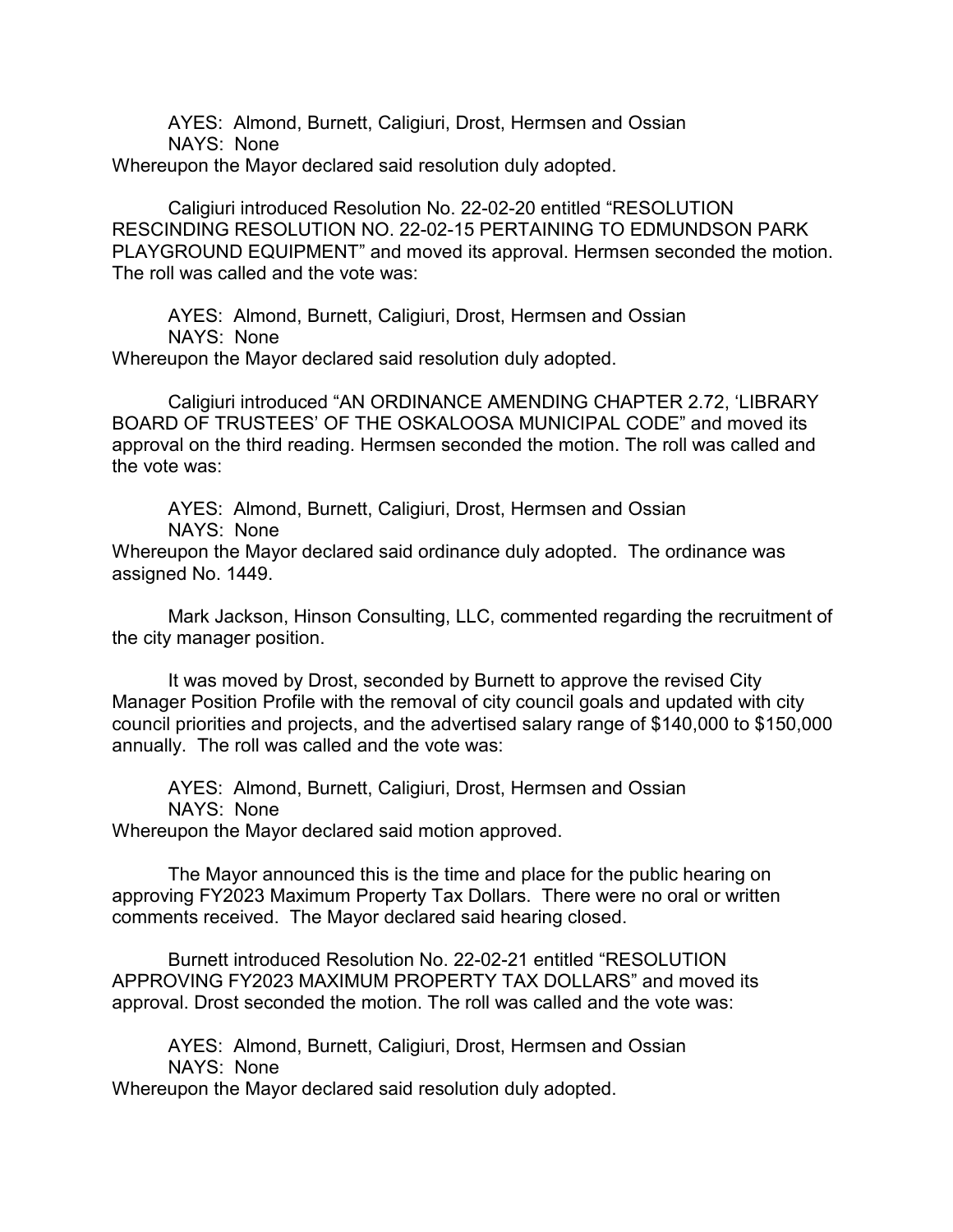AYES: Almond, Burnett, Caligiuri, Drost, Hermsen and Ossian NAYS: None

Whereupon the Mayor declared said resolution duly adopted.

Caligiuri introduced Resolution No. 22-02-20 entitled "RESOLUTION RESCINDING RESOLUTION NO. 22-02-15 PERTAINING TO EDMUNDSON PARK PLAYGROUND EQUIPMENT" and moved its approval. Hermsen seconded the motion. The roll was called and the vote was:

AYES: Almond, Burnett, Caligiuri, Drost, Hermsen and Ossian NAYS: None

Whereupon the Mayor declared said resolution duly adopted.

Caligiuri introduced "AN ORDINANCE AMENDING CHAPTER 2.72, 'LIBRARY BOARD OF TRUSTEES' OF THE OSKALOOSA MUNICIPAL CODE" and moved its approval on the third reading. Hermsen seconded the motion. The roll was called and the vote was:

AYES: Almond, Burnett, Caligiuri, Drost, Hermsen and Ossian

NAYS: None

Whereupon the Mayor declared said ordinance duly adopted. The ordinance was assigned No. 1449.

Mark Jackson, Hinson Consulting, LLC, commented regarding the recruitment of the city manager position.

It was moved by Drost, seconded by Burnett to approve the revised City Manager Position Profile with the removal of city council goals and updated with city council priorities and projects, and the advertised salary range of \$140,000 to \$150,000 annually. The roll was called and the vote was:

AYES: Almond, Burnett, Caligiuri, Drost, Hermsen and Ossian NAYS: None Whereupon the Mayor declared said motion approved.

The Mayor announced this is the time and place for the public hearing on approving FY2023 Maximum Property Tax Dollars. There were no oral or written comments received. The Mayor declared said hearing closed.

Burnett introduced Resolution No. 22-02-21 entitled "RESOLUTION APPROVING FY2023 MAXIMUM PROPERTY TAX DOLLARS" and moved its approval. Drost seconded the motion. The roll was called and the vote was:

AYES: Almond, Burnett, Caligiuri, Drost, Hermsen and Ossian NAYS: None

Whereupon the Mayor declared said resolution duly adopted.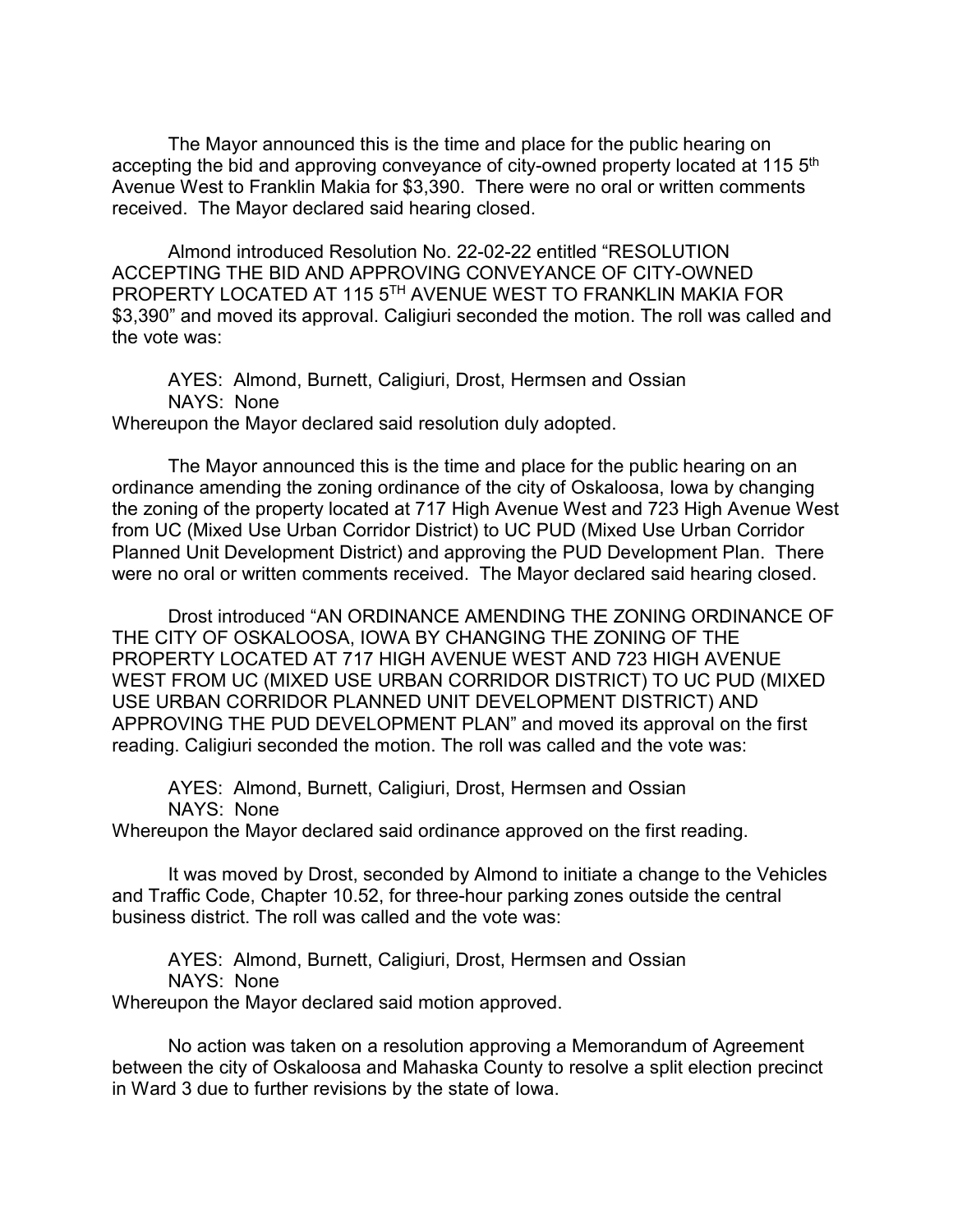The Mayor announced this is the time and place for the public hearing on accepting the bid and approving conveyance of city-owned property located at 115 5<sup>th</sup> Avenue West to Franklin Makia for \$3,390. There were no oral or written comments received. The Mayor declared said hearing closed.

Almond introduced Resolution No. 22-02-22 entitled "RESOLUTION ACCEPTING THE BID AND APPROVING CONVEYANCE OF CITY-OWNED PROPERTY LOCATED AT 115 5TH AVENUE WEST TO FRANKLIN MAKIA FOR \$3,390" and moved its approval. Caligiuri seconded the motion. The roll was called and the vote was:

AYES: Almond, Burnett, Caligiuri, Drost, Hermsen and Ossian NAYS: None Whereupon the Mayor declared said resolution duly adopted.

The Mayor announced this is the time and place for the public hearing on an ordinance amending the zoning ordinance of the city of Oskaloosa, Iowa by changing the zoning of the property located at 717 High Avenue West and 723 High Avenue West from UC (Mixed Use Urban Corridor District) to UC PUD (Mixed Use Urban Corridor Planned Unit Development District) and approving the PUD Development Plan. There were no oral or written comments received. The Mayor declared said hearing closed.

Drost introduced "AN ORDINANCE AMENDING THE ZONING ORDINANCE OF THE CITY OF OSKALOOSA, IOWA BY CHANGING THE ZONING OF THE PROPERTY LOCATED AT 717 HIGH AVENUE WEST AND 723 HIGH AVENUE WEST FROM UC (MIXED USE URBAN CORRIDOR DISTRICT) TO UC PUD (MIXED USE URBAN CORRIDOR PLANNED UNIT DEVELOPMENT DISTRICT) AND APPROVING THE PUD DEVELOPMENT PLAN" and moved its approval on the first reading. Caligiuri seconded the motion. The roll was called and the vote was:

AYES: Almond, Burnett, Caligiuri, Drost, Hermsen and Ossian NAYS: None

Whereupon the Mayor declared said ordinance approved on the first reading.

It was moved by Drost, seconded by Almond to initiate a change to the Vehicles and Traffic Code, Chapter 10.52, for three-hour parking zones outside the central business district. The roll was called and the vote was:

AYES: Almond, Burnett, Caligiuri, Drost, Hermsen and Ossian NAYS: None Whereupon the Mayor declared said motion approved.

No action was taken on a resolution approving a Memorandum of Agreement between the city of Oskaloosa and Mahaska County to resolve a split election precinct in Ward 3 due to further revisions by the state of Iowa.